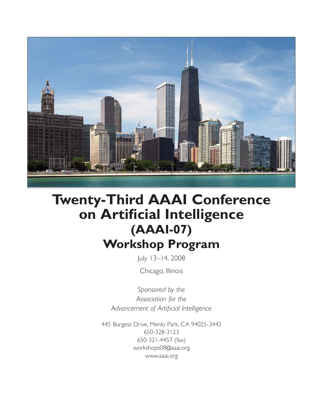

# **Twenty-Third AAAI Conference on Artificial Intelligence (AAAI-07) Workshop Program**

July 13–14, 2008

Chicago, Illinois

*Sponsored by the Association for the Advancement of Artificial Intelligence*

445 Burgess Drive, Menlo Park, CA 94025-3442 650-328-3123 650-321-4457 (fax) workshops08@aaai.org www.aaai.org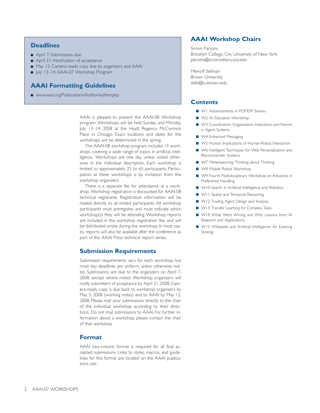#### **Deadlines**

- April 7: Submissions due
- April 21: Notification of acceptance
- May 12: Camera-ready copy due to organizers and AAAI
- July 13-14: AAAI-07 Workshop Program

## **AAAI Formatting Guidelines**

■ www.aaai.org/Publications/Author/author.php

AAAI is pleased to present the AAAI-08 Workshop program. Workshops will be held Sunday and Monday, July 13–14, 2008 at the Hyatt Regency McCormick Place in Chicago. Exact locations and dates for the workshops will be determined in the spring.

The AAAI-08 workshop program includes 15 workshops covering a wide range of topics in artificial intelligence. Workshops are one day unless noted otherwise in the individual description. Each workshop is limited to approximately 25 to 65 participants. Participation at these workshops is by invitation from the workshop organizers.

There is a separate fee for attendance at a workshop. Workshop registration is discounted for AAAI-08 technical registrants. Registration information will be mailed directly to all invited participants. All workshop participants must preregister, and must indicate which workshop(s) they will be attending. Workshop reports are included in the workshop registration fee, and will be distributed onsite during the workshop. In most cases, reports will also be available after the conference as part of the AAAI Press technical report series.

#### **Submission Requirements**

Submission requirements vary for each workshop, but most key deadlines are uniform, unless otherwise noted. Submissions are due to the organizers on April 7, 2008, except where noted. Workshop organizers will notify submitters of acceptance by April 21, 2008. Camera-ready copy is due back to workshop organizers by May 5, 2008 (working notes) and to AAAI by May 12, 2008. Please mail your submissions directly to the chair of the individual workshop according to their directions. Do not mail submissions to AAAI. For further information about a workshop, please contact the chair of that workshop.

#### **Format**

AAAI two-column format is required for all final accepted submissions. Links to styles, macros, and guidelines for this format are located on the AAAI publications site.

## **AAAI Workshop Chairs**

Simon Parsons Brooklyn College, City University of New York parsons@sci.brooklyn.cuny.edu

Meinolf Sellman Brown University sello@cs.brown.edu

## **Contents**

- WI: Advancements in POMDP Solvers
- W2: AI Education Workshop
- W3: Coordination, Organization, Institutions and Norms in Agent Systems
- W4: Enhanced Messaging
- W5: Human Implications of Human-Robot Interaction
- W6: Intelligent Techniques for Web Personalization and Recommender Systems
- W7: Metareasoning: Thinking about Thinking
- W8: Mobile Robot Workshop
- W9: Fourth Multidisciplinary Workshop on Advances in Preference Handling
- W10: Search in Artificial Intelligence and Robotics
- WII: Spatial and Temporal Reasoning
- W12: Trading Agent Design and Analysis
- W13: Transfer Learning for Complex Tasks
- W14: What Went Wrong and Why: Lessons from AI Research and Applications
- W15: Wikipedia and Artificial Intelligence: An Evolving Synergy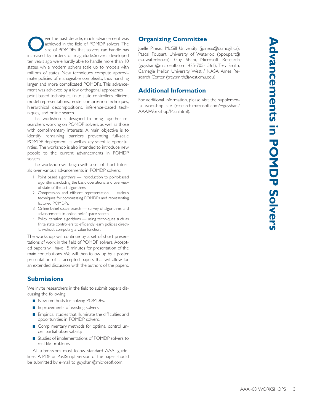Ver the past decade, much advancement was<br>achieved in the field of POMDP solvers. The<br>size of POMDPs that solvers can handle has achieved in the field of POMDP solvers. The size of POMDPs that solvers can handle has increased by orders of magnitude.Solvers developed ten years ago were hardly able to handle more than 10 states, while modern solvers scale up to models with millions of states. New techniques compute approximate policies of manageable complexity, thus handling larger and more complicated POMDPs. This advancement was achieved by a few orthogonal approaches point-based techniques, finite-state controllers, efficient model representations, model compression techniques, hierarchical decompositions, inference-based techniques, and online search.

This workshop is designed to bring together researchers working on POMDP solvers, as well as those with complimentary interests. A main objective is to identify remaining barriers preventing full-scale POMDP deployment, as well as key scientific opportunities. The workshop is also intended to introduce new people to the current advancements in POMDP solvers.

The workshop will begin with a set of short tutorials over various advancements in POMDP solvers:

- 1. Point based algorithms Introduction to point-based algorithms, including the basic operations, and overview of state of the art algorithms.
- 2, Compression and efficient representation various techniques for compressing POMDPs and representing factored POMDPs.
- 3. Online belief space search survey of algorithms and advancements in online belief space search.
- 4. Policy iteration algorithms using techniques such as finite state controllers to efficiently learn policies directly, without computing a value function.

The workshop will continue by a set of short presentations of work in the field of POMDP solvers. Accepted papers will have 15 minutes for presentation of the main contributions. We will then follow up by a poster presentation of all accepted papers that will allow for an extended discussion with the authors of the papers.

## **Submissions**

We invite researchers in the field to submit papers discussing the following:

- New methods for solving POMDPs.
- Improvements of existing solvers.
- Empirical studies that illuminate the difficulties and opportunities in POMDP solvers.
- Complimentary methods for optimal control under partial observability.
- Studies of implementations of POMDP solvers to real life problems.

All submissions must follow standard AAAI guidelines. A PDF or PostScript version of the paper should be submitted by e-mail to guyshani@microsoft.com.

# **Organizing Committee**

Joelle Pineau, McGill University (jpineau@cs.mcgill.ca); Pascal Poupart, University of Waterloo (ppoupart@ cs.uwaterloo.ca); Guy Shani, Microsoft Research (guyshani@microsoft.com, 425-705-1561); Trey Smith, Carnegie Mellon University West / NASA Ames Research Center (trey.smith@west.cmu.edu)

## **Additional Information**

For additional information, please visit the supplemental workshop site (research.microsoft.com/~guyshani/ AAAIWorkshop/Main.html).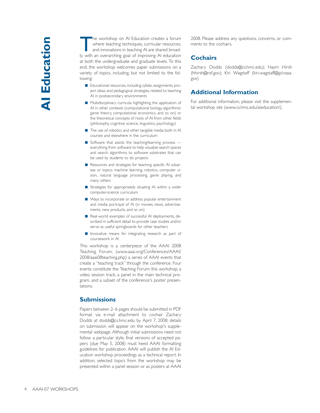The workshop on AI Education creates a forum<br>where teaching techniques, curricular resources,<br>and innovations in teaching AI are shared broadwhere teaching techniques, curricular resources, and innovations in teaching AI are shared broadly, with an overarching goal of improving AI education at both the undergraduate and graduate levels. To this end, the workshop welcomes paper submissions on a variety of topics, including, but not limited to the following:

- Educational resources, including syllabi, assignments, project ideas, and pedagogical strategies, related to teaching AI in postsecondary environments
- Multidisciplinary curricula highlighting the application of AI in other contexts (computational biology, algorithmic game theory, computational economics, and so on) or the theoretical concepts of roots of AI from other fields (philosophy, cognitive science, linguistics, psychology)
- The use of robotics and other tangible media both in Al courses and elsewhere in the curriculum
- Software that assists the teaching/learning process everything from software to help visualize search spaces and search algorithms, to software substrates that can be used by students to do projects
- Resources and strategies for teaching specific AI subareas or topics: machine learning, robotics, computer vision, natural language processing, game playing, and many others
- Strategies for appropriately situating AI within a wider computer-science curriculum
- Ways to incorporate or address popular entertainment and media portrayal of AI (in movies, news, advertisements, new products, and so on)
- Real-world examples of successful AI deployments, described in sufficient detail to provide case studies and/or serve as useful springboards for other teachers
- Innovative means for integrating research as part of coursework in AI

This workshop is a centerpiece of the AAAI 2008 Teaching Forum, (www.aaai.org/Conferences/AAAI/ 2008/aaai08teaching.php) a series of AAAI events that create a "teaching track" through the conference. Four events constitute the Teaching Forum: this workshop, a video session track, a panel in the main technical program, and a subset of the conference's poster presentations.

## **Submissions**

Papers between 2–6 pages should be submitted in PDF format via e-mail attachment to cochair Zachary Dodds at dodds@cs.hmc.edu by April 7, 2008; details on submission will appear on the workshop's supplemental webpage. Although initial submissions need not follow a particular style, final versions of accepted papers (due May 5, 2008) must heed AAAI formatting guidelines for publication. AAAI will publish the AI Education workshop proceedings as a technical report. In addition, selected topics from the workshop may be presented within a panel session or as posters at AAAI

2008. Please address any questions, concerns, or comments to the cochairs.

## **Cochairs**

Zachary Dodds (dodds@cs.hmc.edu); Haym Hirsh (hhirsh@nsf.gov); Kiri Wagstaff (kiri.wagstaff@jpl.nasa. gov)

## **Additional Information**

For additional information, please visit the supplemental workshop site (www.cs.hmc.edu/aieducation/).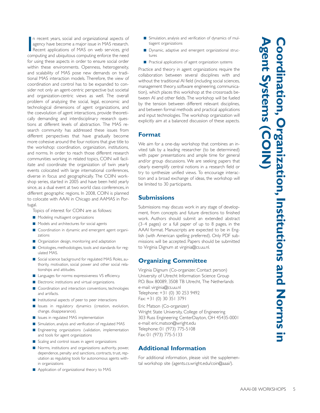I n recent years, social and organizational aspects of agency have become a major issue in MAS research. Recent applications of MAS on web services, grid computing and ubiquitous computing enforce the need for using these aspects in order to ensure social order within these environments. Openness, heterogeneity, and scalability of MAS pose new demands on traditional MAS interaction models. Therefore, the view of coordination and control has to be expanded to consider not only an agent-centric perspective but societal and organization-centric views as well. The overall problem of analyzing the social, legal, economic and technological dimensions of agent organizations, and the coevolution of agent interactions, provide theoretically demanding and interdisciplinary research questions at different levels of abstraction. The MAS research community has addressed these issues from different perspectives that have gradually become more cohesive around the four notions that give title to the workshop: coordination, organization, institutions, and norms. In order to reach those different research communities working in related topics, COIN will facilitate and coordinate the organization of twin yearly events colocated with large international conferences, diverse in focus and geographically. The COIN workshop series, started in 2005 and have been held yearly since, as a dual event at two world class conferences, in different geographic regions. In 2008, COIN is planned to colocate with AAAI in Chicago and AAMAS in Portugal.

Topics of interest for COIN are as follows:

- Modeling multiagent organizations
- Models and architectures for social agents
- Coordination in dynamic and emergent agent organizations
- Organization design, monitoring and adaptation
- Ontologies, methodologies, tools and standards for regulated MAS.
- Social science background for regulated MAS: Roles, authority, motivation, social power and other social relationships and attitudes.
- Languages for norms: expressiveness VS efficiency.
- Electronic institutions and virtual organizations.
- Coordination and interaction conventions, technologies and artifacts.
- Institutional aspects of peer to peer interactions
- Issues in regulatory dynamics (creation, evolution, change, disappearance).
- Issues in regulated MAS implementation
- Simulation, analysis and verification of regulated MAS
- Engineering organizations (validation, implementation and tools for agent organizations
- Scaling and control issues in agent organizations
- Norms, institutions and organizations: authority, power, dependence, penalty and sanctions, contracts, trust, reputation as regulating tools for autonomous agents within organizations
- Application of organizational theory to MAS
- Simulation, analysis and verification of dynamics of multiagent organizations
- Dynamic, adaptive and emergent organizational structures
- Practical applications of agent organization systems

Practice and theory in agent organizations require the collaboration between several disciplines with and without the traditional AI field (including social sciences, management theory, software engineering, communication), which places this workshop at the crossroads between AI and other fields. The workshop will be fueled by the tension between different relevant disciplines, and between formal methods and practical applications and input technologies. The workshop organization will explicitly aim at a balanced discussion of these aspects.

## **Format**

We aim for a one-day workshop that combines an invited talk by a leading researcher (to be determined) with paper presentations and ample time for general and/or group discussions. We are seeking papers that clearly exemplify central notions in a research field or try to synthesize unified views. To encourage interaction and a broad exchange of ideas, the workshop will be limited to 30 participants.

## **Submissions**

Submissions may discuss work in any stage of development, from concepts and future directions to finished work. Authors should submit an extended abstract (3–4 pages) or a full paper of up to 8 pages, in the AAAI format. Manuscripts are expected to be in English (with American spelling preferred). Only PDF submissions will be accepted. Papers should be submitted to Virginia Dignum at virginia@cs.uu.nl.

# **Organizing Committee**

Virginia Dignum (Co-organizer, Contact person) University of Utrecht Information Science Group P.O. Box 80089, 3508 TB Utrecht, The Netherlands e-mail: virginia@cs.uu.nl Telephone: +31 (0) 30 253 9492 Fax: +31 (0) 30 351 3791

Eric Matson (Co-organizer) Wright State University, College of Engineering 303 Russ Engineering CenterDayton, OH 45435-0001 e-mail: eric.matson@wright.edu Telephone: 01 (973) 775-5108 Fax: 01 (973) 775-5133

## **Additional Information**

For additional information, please visit the supplemental workshop site (agents.cs.wright.edu/coin@aaai/).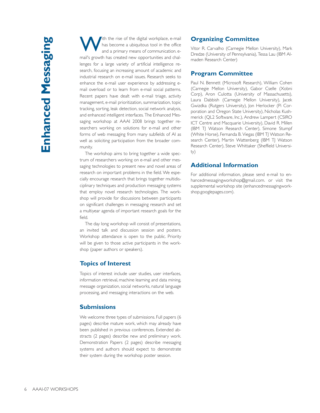with the rise of the digital workplace, e-mail<br>has become a ubiquitous tool in the office<br>and a primary moans of communication of and a primary means of communication. email's growth has created new opportunities and challenges for a large variety of artificial intelligence research, focusing an increasing amount of academic and industrial research on e-mail issues. Research seeks to enhance the e-mail user experience by addressing email overload or to learn from e-mail social patterns. Recent papers have dealt with e-mail triage, activity management, e-mail prioritization, summarization, topic tracking, sorting, leak detection, social network analysis, and enhanced intelligent interfaces. The Enhanced Messaging workshop at AAAI 2008 brings together researchers working on solutions for e-mail and other forms of web messaging from many subfields of AI as well as soliciting participation from the broader community.

The workshop aims to bring together a wide spectrum of researchers working on e-mail and other messaging technologies to present new and novel areas of research on important problems in the field. We especially encourage research that brings together multidisciplinary techniques and production messaging systems that employ novel research technologies. The workshop will provide for discussions between participants on significant challenges in messaging research and set a multiyear agenda of important research goals for the field.

The day long workshop will consist of presentations, an invited talk and discussion session and posters. Workshop attendance is open to the public. Priority will be given to those active participants in the workshop (paper authors or speakers).

## **Topics of Interest**

Topics of interest include user studies, user interfaces, information retrieval, machine learning and data mining, message organization, social networks, natural language processing, and messaging interactions on the web.

## **Submissions**

We welcome three types of submissions. Full papers (6 pages) describe mature work, which may already have been published in previous conferences. Extended abstracts (2 pages) describe new and preliminary work. Demonstration Papers (2 pages) describe messaging systems and authors should expect to demonstrate their system during the workshop poster session.

# **Organizing Committee**

Vitor R. Carvalho (Carnegie Mellon University), Mark Dredze (University of Pennsylvania), Tessa Lau (IBM Almaden Research Center)

## **Program Committee**

Paul N. Bennett (Microsoft Research), William Cohen (Carnegie Mellon University), Gabor Cselle (Xobni Corp), Aron Culotta (University of Massachusetts), Laura Dabbish (Carnegie Mellon University), Jacek Gwizdka (Rutgers University), Jon Herlocker (Pi Corporation and Oregon State University), Nicholas Kushmerick (QL2 Software, Inc.), Andrew Lampert (CSIRO ICT Centre and Macquarie University), David R. Millen (IBM TJ Watson Research Center), Simone Stumpf (White Horse), Fernanda B. Viegas (IBM TJ Watson Research Center), Martin Wattenberg (IBM TJ Watson Research Center), Steve Whittaker (Sheffield University)

## **Additional Information**

For additional information, please send e-mail to enhancedmessagingworkshop@gmail.com. or visit the supplemental workshop site (enhancedmessagingworkshop.googlepages.com).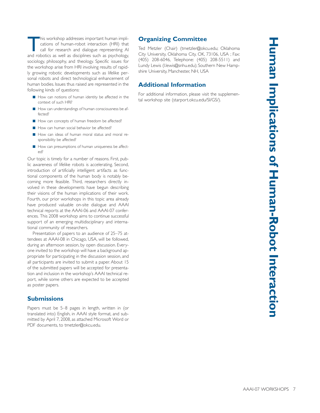This workshop addresses important human implications of human-robot interaction (HRI) that call for research and dialogue representing AI and robotics as well as disciplines such as psychology, sociology, philosophy, and theology. Specific issues for the workshop arise from HRI involving results of rapidly growing robotic developments such as lifelike personal robots and direct technological enhancement of human bodies. Issues thus raised are represented in the following kinds of questions:

- How can notions of human identity be affected in the context of such HRI?
- How can understandings of human consciousness be affected?
- How can concepts of human freedom be affected?
- How can human social behavior be affected?
- How can ideas of human moral status and moral responsibility be affected?
- How can presumptions of human uniqueness be affected?

Our topic is timely for a number of reasons. First, public awareness of lifelike robots is accelerating. Second, introduction of artificially intelligent artifacts as functional components of the human body is notably becoming more feasible. Third, researchers directly involved in these developments have begun describing their visions of the human implications of their work. Fourth, our prior workshops in this topic area already have produced valuable on-site dialogue and AAAI technical reports at the AAAI-06 and AAAI-07 conferences. This 2008 workshop aims to continue successful support of an emerging multidisciplinary and international community of researchers.

Presentation of papers to an audience of 25–75 attendees at AAAI-08 in Chicago, USA, will be followed, during an afternoon session, by open discussion. Everyone invited to the workshop will have a background appropriate for participating in the discussion session, and all participants are invited to submit a paper. About 15 of the submitted papers will be accepted for presentation and inclusion in the workshop's AAAI technical report, while some others are expected to be accepted as poster papers.

## **Submissions**

Papers must be 5–8 pages in length, written in (or translated into) English, in AAAI style format, and submitted by April 7, 2008, as attached Microsoft Word or PDF documents, to tmetzler@okcu.edu.

# **Organizing Committee**

Ted Metzler (Chair) (tmetzler@okcu.edu; Oklahoma City University, Oklahoma City, OK, 73106, USA ; Fax: (405) 208-6046, Telephone: (405) 208-5511) and Lundy Lewis (l.lewis@snhu.edu); Southern New Hampshire University, Manchester, NH, USA

## **Additional Information**

For additional information, please visit the supplemental workshop site (starport.okcu.edu/SI/GS/).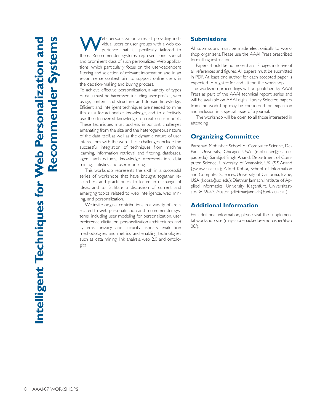eb personalization aims at providing individual users or user groups with a web experience that is specifically tailored to them. Recommender systems represent one special and prominent class of such personalized Web applications, which particularly focus on the user-dependent filtering and selection of relevant information and, in an e-commerce context, aim to support online users in the decision-making and buying process.

To achieve effective personalization, a variety of types of data must be harnessed, including user profiles, web usage, content and structure, and domain knowledge. Efficient and intelligent techniques are needed to mine this data for actionable knowledge, and to effectively use the discovered knowledge to create user models. These techniques must address important challenges emanating from the size and the heterogeneous nature of the data itself, as well as the dynamic nature of user interactions with the web. These challenges include the successful integration of techniques from machine learning, information retrieval and filtering, databases, agent architectures, knowledge representation, data mining, statistics, and user modeling.

This workshop represents the sixth in a successful series of workshops that have brought together researchers and practitioners to foster an exchange of ideas, and to facilitate a discussion of current and emerging topics related to web intelligence, web mining, and personalization.

We invite original contributions in a variety of areas related to web personalization and recommender systems, including user modeling for personalization, user preference elicitation, personalization architectures and systems, privacy and security aspects, evaluation methodologies and metrics, and enabling technologies such as data mining, link analysis, web 2.0 and ontologies.

## **Submissions**

All submissions must be made electronically to workshop organizers. Please use the AAAI Press prescribed formatting instructions.

Papers should be no more than 12 pages inclusive of all references and figures. All papers must be submitted in PDF. At least one author for each accepted paper is expected to register for and attend the workshop.

The workshop proceedings will be published by AAAI Press as part of the AAAI technical report series and will be available on AAAI digital library. Selected papers from the workshop may be considered for expansion and inclusion in a special issue of a journal.

The workshop will be open to all those interested in attending.

#### **Organizing Committee**

Bamshad Mobasher, School of Computer Science, De-Paul University, Chicago, USA (mobasher@cs. depaul.edu); Sarabjot Singh Anand, Department of Computer Science, University of Warwick, UK (S.S.Anand @warwick.ac.uk); Alfred Kobsa, School of Information and Computer Sciences, University of California, Irvine, USA (kobsa@uci.edu); Dietmar Jannach, Institute of Applied Informatics, University Klagenfurt, Universitäststraße 65-67, Austria (dietmar.jannach@uni-klu.ac.at)

#### **Additional Information**

For additional information, please visit the supplemental workshop site (maya.cs.depaul.edu/~mobasher/itwp 08/).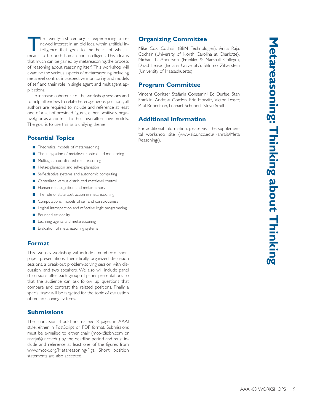The twenty-first century is experiencing a renewed interest in an old idea within artificial intelligence that goes to the heart of what it means to be both human and intelligent. This idea is that much can be gained by metareasoning, the process of reasoning about reasoning itself. This workshop will examine the various aspects of metareasoning including metalevel control, introspective monitoring and models of self and their role in single agent and multiagent applications.

To increase coherence of the workshop sessions and to help attendees to relate heterogeneous positions, all authors are required to include and reference at least one of a set of provided figures, either positively, negatively, or as a contrast to their own alternative models. The goal is to use this as a unifying theme.

## **Potential Topics**

- Theoretical models of metareasoning
- The integration of metalevel control and monitoring
- Multiagent coordinated metareasoning
- Metaexplanation and self-explanation
- Self-adaptive systems and autonomic computing
- Centralized versus distributed metalevel control
- Human metacognition and metamemory
- The role of state abstraction in metareasoning
- Computational models of self and consciousness
- Logical introspection and reflective logic programming
- Bounded rationality
- Learning agents and metareasoning
- Evaluation of metareasoning systems

## **Format**

This two-day workshop will include a number of short paper presentations, thematically organized discussion sessions, a break-out problem-solving session with discussion, and two speakers. We also will include panel discussions after each group of paper presentations so that the audience can ask follow up questions that compare and contrast the related positions. Finally a special track will be targeted for the topic of evaluation of metareasoning systems.

## **Submissions**

The submission should not exceed 8 pages in AAAI style, either in PostScript or PDF format. Submissions must be e-mailed to either chair (mcox@bbn.com or anraja@uncc.edu) by the deadline period and must include and reference at least one of the figures from www.mcox.org/Metareasoning/Figs. Short position statements are also accepted.

# **Organizing Committee**

Mike Cox, Cochair (BBN Technologies), Anita Raja, Cochair (University of North Carolina at Charlotte), Michael L. Anderson (Franklin & Marshall College), David Leake (Indiana University), Shlomo Zilberstein (University of Massachusetts)

## **Program Committee**

Vincent Conitzer, Stefania Constanini, Ed Durfee, Stan Franklin, Andrew Gordon, Eric Horvitz, Victor Lesser, Paul Robertson, Lenhart Schubert, Steve Smith

# **Additional Information**

For additional information, please visit the supplemental workshop site (www.sis.uncc.edu/~anraja/Meta Reasoning/).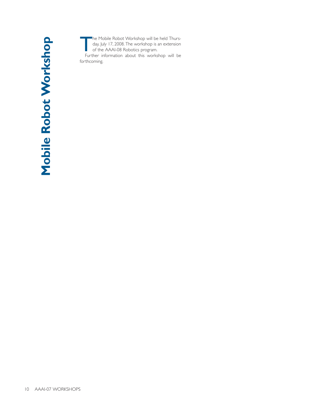The Mobile Robot Workshop will be held Thurs-<br>day, July 17, 2008. The workshop is an extension<br>of the AAAI-08 Robotics program. day, July 17, 2008. The workshop is an extension of the AAAI-08 Robotics program. Further information about this workshop will be forthcoming.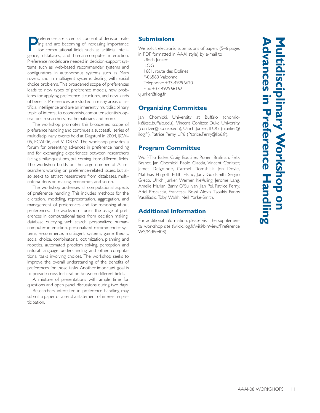P references are a central concept of decision making and are becoming of increasing importance for computational fields such as artificial intelligence, databases, and human-computer interaction. Preference models are needed in decision-support systems such as web-based recommender systems and configurators, in autonomous systems such as Mars rovers, and in multiagent systems dealing with social choice problems. This broadened scope of preferences leads to new types of preference models, new problems for applying preference structures, and new kinds of benefits. Preferences are studied in many areas of artificial intelligence and are an inherently multidisciplinary topic, of interest to economists, computer scientists, operations researchers, mathematicians and more.

The workshop promotes this broadened scope of preference handling and continues a successful series of multidisciplinary events held at Dagstuhl in 2004, IJCAI-05, ECAI-06, and VLDB-07. The workshop provides a forum for presenting advances in preference handling and for exchanging experiences between researchers facing similar questions, but coming from different fields. The workshop builds on the large number of AI researchers working on preference-related issues, but also seeks to attract researchers from databases, multicriteria decision making, economics, and so on.

The workshop addresses all computational aspects of preference handling. This includes methods for the elicitation, modeling, representation, aggregation, and management of preferences and for reasoning about preferences. The workshop studies the usage of preferences in computational tasks from decision making, database querying, web search, personalized humancomputer interaction, personalized recommender systems, e-commerce, multiagent systems, game theory, social choice, combinatorial optimization, planning and robotics, automated problem solving, perception and natural language understanding and other computational tasks involving choices. The workshop seeks to improve the overall understanding of the benefits of preferences for those tasks. Another important goal is to provide cross-fertilization between different fields.

A mixture of presentations with ample time for questions and open panel discussions during two days.

Researchers interested in preference handling may submit a paper or a send a statement of interest in participation.

#### **Submissions**

We solicit electronic submissions of papers (5–6 pages in PDF, formatted in AAAI style) by e-mail to

Ulrich Junker ILOG 1681, route des Dolines F-06560 Valbonne Telephone: +33-492966201

Fax: +33-492966162

ujunker@ilog.fr

# **Organizing Committee**

Jan Chomicki, University at Buffalo (chomicki@cse.buffalo.edu), Vincent Conitzer, Duke University (conitzer@cs.duke.edu), Ulrich Junker, ILOG (ujunker@ ilog.fr), Patrice Perny, LIP6 (Patrice.Perny@lip6.fr).

## **Program Committee**

Wolf-Tilo Balke, Craig Boutilier, Ronen Brafman, Felix Brandt, Jan Chomicki, Paolo Ciaccia, Vincent Conitzer, James Delgrande, Carmel Domshlak, Jon Doyle, Matthias Ehrgott, Edith Elkind, Judy Goldsmith, Sergio Greco, Ulrich Junker, Werner Kie√üling, Jerome Lang, Amelie Marian, Barry O'Sullivan, Jian Pei, Patrice Perny, Ariel Procaccia, Francesca Rossi, Alexis Tsoukis, Panos Vassiliadis, Toby Walsh, Neil Yorke-Smith.

## **Additional Information**

For additional information, please visit the supplemental workshop site (wikix.ilog.fr/wiki/bin/view/Preference WS/MdPref08).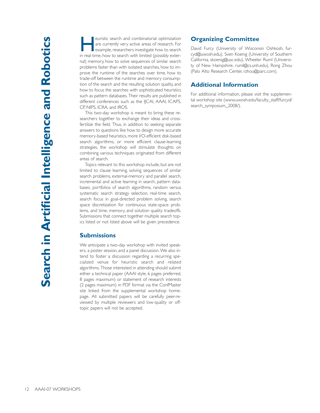euristic search and combinatorial optimization are currently very active areas of research. For example, researchers investigate how to search in real-time, how to search with limited (possibly external) memory, how to solve sequences of similar search problems faster than with isolated searches, how to improve the runtime of the searches over time, how to trade-off between the runtime and memory consumption of the search and the resulting solution quality, and how to focus the searches with sophisticated heuristics such as pattern databases. Their results are published in different conferences such as the IJCAI, AAAI, ICAPS, CP, NIPS, ICRA, and IROS.

This two-day workshop is meant to bring these researchers together to exchange their ideas and crossfertilize the field. Thus, in addition to seeking separate answers to questions like how to design more accurate memory-based heuristics, more I/O-efficient disk-based search algorithms, or more efficient clause-learning strategies, the workshop will stimulate thoughts on combining various techniques originated from different areas of search.

Topics relevant to this workshop include, but are not limited to clause learning, solving sequences of similar search problems, external-memory and parallel search, incremental and active learning in search, pattern databases, portfolios of search algorithms, random versus systematic search strategy selection, real-time search, search focus in goal-directed problem solving, search space discretization for continuous state-space problems, and time, memory, and solution quality tradeoffs. Submissions that connect together multiple search topics listed or not listed above will be given precedence.

#### **Submissions**

We anticipate a two-day workshop with invited speakers, a poster session, and a panel discussion. We also intend to foster a discussion regarding a recurring specialized venue for heuristic search and related algorithms. Those interested in attending should submit either a technical paper (AAAI style, 6 pages preferred, 8 pages maximum) or statement of research interests (2 pages maximum) in PDF format via the ConfMaster site linked from the supplemental workshop homepage. All submitted papers will be carefully peer-reviewed by multiple reviewers and low-quality or offtopic papers will not be accepted.

## **Organizing Committee**

David Furcy (University of Wisconsin Oshkosh, furcyd@uwosh.edu), Sven Koenig (University of Southern California, skoenig@usc.edu), Wheeler Ruml (University of New Hampshire, ruml@cs.unh.edu), Rong Zhou (Palo Alto Research Center, rzhou@parc.com).

## **Additional Information**

For additional information, please visit the supplemental workshop site (www.uwosh.edu/faculty\_staff/furcyd/ search\_symposium\_2008/).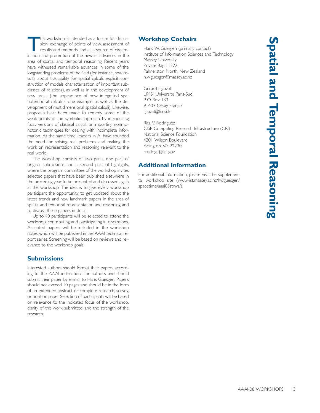This workshop is intended as a forum for discussion, exchange of points of view, assessment of results and methods, and as a source of dissemsion, exchange of points of view, assessment of results and methods, and as a source of dissemination and promotion of the newest advances in the area of spatial and temporal reasoning. Recent years have witnessed remarkable advances in some of the longstanding problems of the field (for instance, new results about tractability for spatial calculi, explicit construction of models, characterization of important subclasses of relations), as well as in the development of new areas (the appearance of new integrated spatiotemporal calculi is one example, as well as the development of multidimensional spatial calculi). Likewise, proposals have been made to remedy some of the weak points of the symbolic approach, by introducing fuzzy versions of classical calculi, or importing nonmonotonic techniques for dealing with incomplete information. At the same time, leaders in AI have sounded the need for solving real problems and making the work on representation and reasoning relevant to the real world.

The workshop consists of two parts, one part of original submissions and a second part of highlights, where the program committee of the workshop invites selected papers that have been published elsewhere in the preceding year to be presented and discussed again at the workshop. The idea is to give every workshop participant the opportunity to get updated about the latest trends and new landmark papers in the area of spatial and temporal representation and reasoning and to discuss these papers in detail.

Up to 40 participants will be selected to attend the workshop, contributing and participating in discussions. Accepted papers will be included in the workshop notes, which will be published in the AAAI technical report series. Screening will be based on reviews and relevance to the workshop goals.

## **Submissions**

Interested authors should format their papers according to the AAAI instructions for authors and should submit their paper by e-mail to Hans Guesgen. Papers should not exceed 10 pages and should be in the form of an extended abstract or complete research, survey, or position paper. Selection of participants will be based on relevance to the indicated focus of the workshop, clarity of the work submitted, and the strength of the research.

## **Workshop Cochairs**

Hans W. Guesgen (primary contact) Institute of Information Sciences and Technology Massey University Private Bag 11222 Palmerston North, New Zealand h.w.guesgen@massey.ac.nz

Gerard Ligozat LIMSI, Universite Paris-Sud P. O. Box 133 91403 Orsay, France ligozat@limsi.fr

Rita V. Rodriguez CISE Computing Research Infrastructure (CRI) National Science Foundation 4201 Wilson Boulevard Arlington, VA 22230 rrodrigu@nsf.gov

# **Additional Information**

For additional information, please visit the supplemental workshop site (www-ist.massey.ac.nz/hwguesgen/ spacetime/aaai08strws/).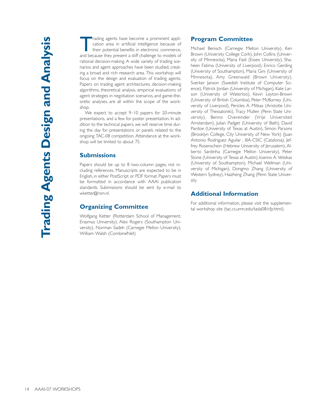rading agents have become a prominent application area in artificial intelligence because of their potential benefits in electronic commerce, and because they present a stiff challenge to models of rational decision-making. A wide variety of trading scenarios and agent approaches have been studied, creating a broad and rich research area. This workshop will focus on the design and evaluation of trading agents. Papers on trading agent architectures, decision-making algorithms, theoretical analysis, empirical evaluations of agent strategies in negotiation scenarios, and game-theoretic analyses, are all within the scope of the workshop.

We expect to accept 9–10 papers for 20-minute presentations, and a few for poster presentation. In addition to the technical papers, we will reserve time during the day for presentations or panels related to the ongoing TAC-08 competition. Attendance at the workshop will be limited to about 75.

#### **Submissions**

Papers should be up to 8 two-column pages, not including references. Manuscripts are expected to be in English, in either PostScript or PDF format. Papers must be formatted in accordance with AAAI publication standards. Submissions should be sent by e-mail to wketter@rsm.nl.

#### **Organizing Committee**

Wolfgang Ketter (Rotterdam School of Management, Erasmus University), Alex Rogers (Southampton University), Norman Sadeh (Carnegie Mellon University), William Walsh (CombineNet)

#### **Program Committee**

Michael Benisch (Carnegie Mellon University), Ken Brown (University College Cork), John Collins (University of Minnesota), Maria Fasli (Essex University), Shaheen Fatima (University of Liverpool), Enrico Gerding (University of Southampton), Maria Gini (University of Minnesota), Amy Greenwald (Brown University), Sverker Janson (Swedish Institute of Computer Science), Patrick Jordan (University of Michigan), Kate Larson (University of Waterloo), Kevin Leyton-Brown (University of British Columbia), Peter McBurney (University of Liverpool), Pericles A. Mitkas (Aristotle University of Thessaloniki), Tracy Mullen (Penn State University), Benno Overeinder (Vrije Universiteit Amsterdam), Julian Padget (University of Bath), David Pardoe (University of Texas at Austin), Simon Parsons (Brooklyn College, City University of New York) (Juan Antonio Rodriguez Aguilar , IIIA-CSIC (Catalonia), Jeffrey Rosenschein (Hebrew University of Jerusalem), Alberto Sardinha (Carnegie Mellon University), Peter Stone (University of Texas at Austin), Ioannis A. Vetsikas (University of Southampton), Michael Wellman (University of Michigan), Dongmo Zhang (University of Western Sydney), Haizheng Zhang (Penn State University

## **Additional Information**

For additional information, please visit the supplemental workshop site (tac.cs.umn.edu/tada08/cfp.html).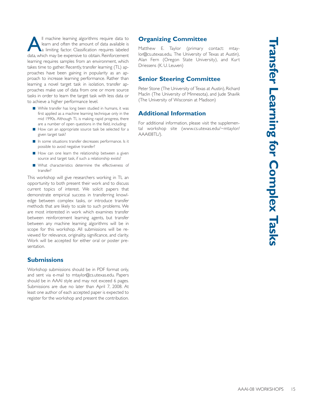Il machine learning algorithms require data to learn and often the amount of data available is a limiting factor. Classification requires labeled data, which may be expensive to obtain. Reinforcement learning requires samples from an environment, which takes time to gather. Recently, transfer learning (TL) approaches have been gaining in popularity as an approach to increase learning performance. Rather than learning a novel target task in isolation, transfer approaches make use of data from one or more source tasks in order to learn the target task with less data or to achieve a higher performance level.

- While transfer has long been studied in humans, it was first applied as a machine learning technique only in the mid 1990s. Although TL is making rapid progress, there are a number of open questions in the field, including:
- How can an appropriate source task be selected for a given target task?
- In some situations transfer decreases performance. Is it possible to avoid negative transfer?
- How can one learn the relationship between a given source and target task, if such a relationship exists?
- What characteristics determine the effectiveness of transfer?

This workshop will give researchers working in TL an opportunity to both present their work and to discuss current topics of interest. We solicit papers that demonstrate empirical success in transferring knowledge between complex tasks, or introduce transfer methods that are likely to scale to such problems. We are most interested in work which examines transfer between reinforcement learning agents, but transfer between any machine learning algorithms will be in scope for this workshop. All submissions will be reviewed for relevance, originality, significance, and clarity. Work will be accepted for either oral or poster presentation.

## **Submissions**

Workshop submissions should be in PDF format only, and sent via e-mail to mtaylor@cs.utexas.edu. Papers should be in AAAI style and may not exceed 6 pages. Submissions are due no later than April 7, 2008. At least one author of each accepted paper is expected to register for the workshop and present the contribution.

# **Organizing Committee**

Matthew E. Taylor (primary contact: mtaylor@cs.utexas.edu, The University of Texas at Austin), Alan Fern (Oregon State University), and Kurt Driessens (K. U. Leuven)

## **Senior Steering Committee**

Peter Stone (The University of Texas at Austin), Richard Maclin (The University of Minnesota), and Jude Shavlik (The University of Wisconsin at Madison)

## **Additional Information**

For additional information, please visit the supplemental workshop site (www.cs.utexas.edu/~mtaylor/ AAAI08TL/).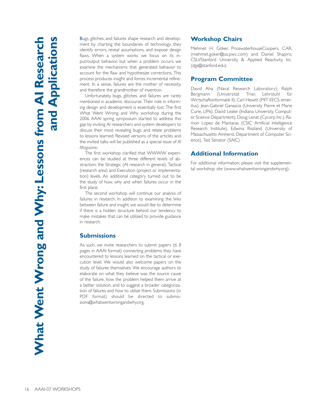Bugs, glitches, and failures shape research and development by charting the boundaries of technology; they identify errors, reveal assumptions, and expose design flaws. When a system works we focus on its input/output behavior, but when a problem occurs, we examine the mechanisms that generated behavior to account for the flaw and hypothesize corrections. This process produces insight and forces incremental refinement. In a sense, failures are the mother of necessity, and therefore the grandmother of invention.

Unfortunately, bugs, glitches, and failures are rarely mentioned in academic discourse. Their role in informing design and development is essentially lost. The first What Went Wrong and Why workshop during the 2006 AAAI spring symposium started to address this gap by inviting AI researchers and system developers to discuss their most revealing bugs, and relate problems to lessons learned. Revised versions of the articles and the invited talks will be published as a special issue of *AI Magazine*.

The first workshop clarified that WWWW experiences can be studied at three different levels of abstraction: the Strategic (AI research in general), Tactical (research area) and Execution (project or implementation) levels. An additional category turned out to be the study of how, why and when failures occur in the first place.

The second workshop will continue our analysis of failures in research. In addition to examining the links between failure and insight, we would like to determine if there is a hidden structure behind our tendency to make mistakes that can be utilized to provide guidance in research.

#### **Submissions**

As such, we invite researchers to submit papers ( $\leq 8$ pages in AAAI format) connecting problems they have encountered to lessons learned on the tactical or execution level. We would also welcome papers on the study of failures themselves. We encourage authors to elaborate on what they believe was the source cause of the failure, how the problem helped them arrive at a better solution, and to suggest a broader categorization of failures and how to utilize them. Submissions (in PDF format) should be directed to submissions@whatwentwrongandwhy.org.

## **Workshop Chairs**

Mehmet H. Göker, PricewaterhouseCoopers, CAR, (mehmet.goker@us.pwc.com) and Daniel Shapiro, CSLI/Stanford University, & Applied Reactivity, Inc. (dgs@stanford.edu)

#### **Program Committee**

David Aha (Naval Research Laboratory), Ralph Bergmann (Universität Trier, Lehrstuhl für Wirtschaftsinformatik II), Carl Hewitt (MIT EECS, emeritus), Jean-Gabriel Ganascia (University Pierre et Marie Curie, LIP6), David Leake (Indiana University, Computer Science Department), Doug Lenat (Cycorp Inc.), Ramon Lopez de Mantaras (CSIC Artificial Intelligence Research Institute), Edwina Rissland (University of Massachusetts Amherst, Department of Computer Science), Ted Senator (SAIC)

#### **Additional Information**

For additional information, please visit the supplemental workshop site (www.whatwentwrongandwhy.org).